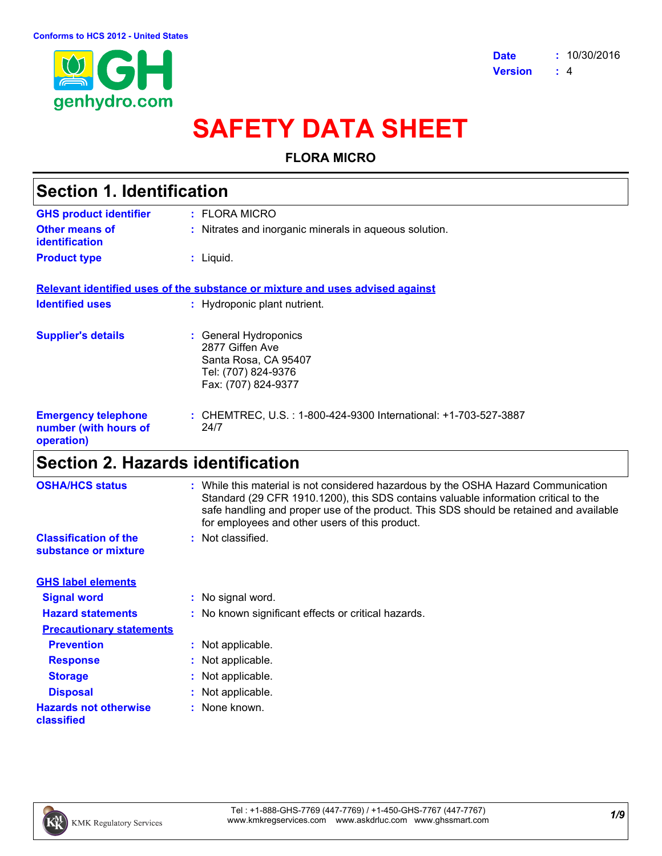

# **SAFETY DATA SHEET**

### **FLORA MICRO**

| <b>Section 1. Identification</b>                                  |                                                                                                                |  |
|-------------------------------------------------------------------|----------------------------------------------------------------------------------------------------------------|--|
| <b>GHS product identifier</b>                                     | $:$ FLORA MICRO                                                                                                |  |
| Other means of<br><b>identification</b>                           | : Nitrates and inorganic minerals in aqueous solution.                                                         |  |
| <b>Product type</b>                                               | $:$ Liquid.                                                                                                    |  |
|                                                                   | Relevant identified uses of the substance or mixture and uses advised against                                  |  |
| <b>Identified uses</b>                                            | : Hydroponic plant nutrient.                                                                                   |  |
| <b>Supplier's details</b>                                         | : General Hydroponics<br>2877 Giffen Ave<br>Santa Rosa, CA 95407<br>Tel: (707) 824-9376<br>Fax: (707) 824-9377 |  |
| <b>Emergency telephone</b><br>number (with hours of<br>operation) | : CHEMTREC, U.S. : 1-800-424-9300 International: +1-703-527-3887<br>24/7                                       |  |

# **Section 2. Hazards identification**

| <b>OSHA/HCS status</b>                               | : While this material is not considered hazardous by the OSHA Hazard Communication<br>Standard (29 CFR 1910.1200), this SDS contains valuable information critical to the<br>safe handling and proper use of the product. This SDS should be retained and available<br>for employees and other users of this product. |
|------------------------------------------------------|-----------------------------------------------------------------------------------------------------------------------------------------------------------------------------------------------------------------------------------------------------------------------------------------------------------------------|
| <b>Classification of the</b><br>substance or mixture | : Not classified.                                                                                                                                                                                                                                                                                                     |
| <b>GHS label elements</b>                            |                                                                                                                                                                                                                                                                                                                       |
| <b>Signal word</b>                                   | : No signal word.                                                                                                                                                                                                                                                                                                     |
| <b>Hazard statements</b>                             | : No known significant effects or critical hazards.                                                                                                                                                                                                                                                                   |
| <b>Precautionary statements</b>                      |                                                                                                                                                                                                                                                                                                                       |
| <b>Prevention</b>                                    | : Not applicable.                                                                                                                                                                                                                                                                                                     |
| <b>Response</b>                                      | : Not applicable.                                                                                                                                                                                                                                                                                                     |
| <b>Storage</b>                                       | : Not applicable.                                                                                                                                                                                                                                                                                                     |
| <b>Disposal</b>                                      | : Not applicable.                                                                                                                                                                                                                                                                                                     |
| <b>Hazards not otherwise</b><br>classified           | : None known.                                                                                                                                                                                                                                                                                                         |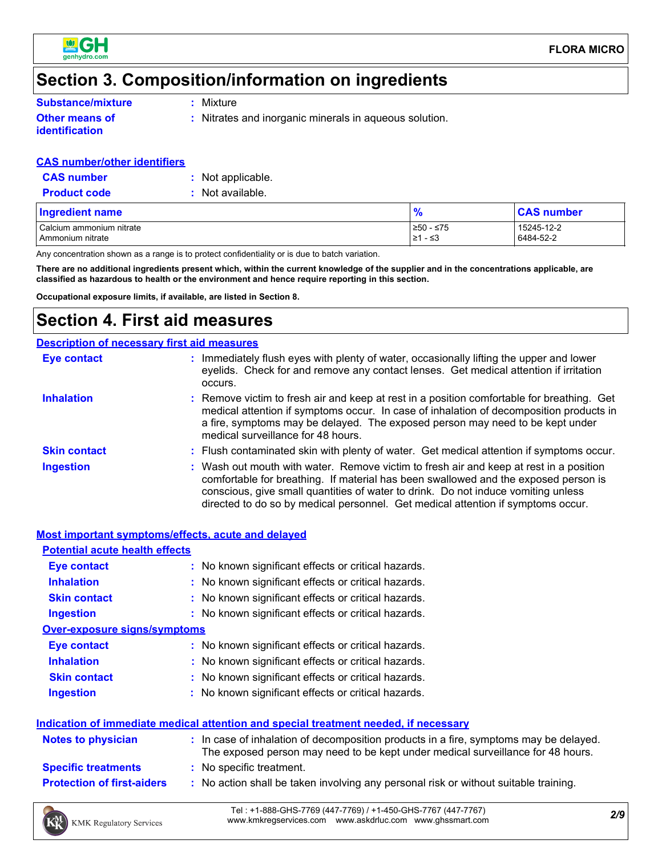

# **Section 3. Composition/information on ingredients**

**Substance/mixture**

**Other means of identification**

**:** Mixture

**:** Nitrates and inorganic minerals in aqueous solution.

### **CAS number/other identifiers**

| <b>CAS number</b>   | : Not applicable. |
|---------------------|-------------------|
| <b>Product code</b> | : Not available.  |

| Ingredient name                              | 70                      | <b>CAS number</b>       |
|----------------------------------------------|-------------------------|-------------------------|
| Calcium ammonium nitrate<br>Ammonium nitrate | ≥50 - ≤75<br>- ≤3<br>≥1 | 15245-12-2<br>6484-52-2 |

Any concentration shown as a range is to protect confidentiality or is due to batch variation.

**There are no additional ingredients present which, within the current knowledge of the supplier and in the concentrations applicable, are classified as hazardous to health or the environment and hence require reporting in this section.**

**Occupational exposure limits, if available, are listed in Section 8.**

## **Section 4. First aid measures**

|                     | <b>Description of necessary first aid measures</b>                                                                                                                                                                                                                                                                                                     |
|---------------------|--------------------------------------------------------------------------------------------------------------------------------------------------------------------------------------------------------------------------------------------------------------------------------------------------------------------------------------------------------|
| <b>Eye contact</b>  | Immediately flush eyes with plenty of water, occasionally lifting the upper and lower<br>eyelids. Check for and remove any contact lenses. Get medical attention if irritation<br>occurs.                                                                                                                                                              |
| <b>Inhalation</b>   | : Remove victim to fresh air and keep at rest in a position comfortable for breathing. Get<br>medical attention if symptoms occur. In case of inhalation of decomposition products in<br>a fire, symptoms may be delayed. The exposed person may need to be kept under<br>medical surveillance for 48 hours.                                           |
| <b>Skin contact</b> | : Flush contaminated skin with plenty of water. Get medical attention if symptoms occur.                                                                                                                                                                                                                                                               |
| <b>Ingestion</b>    | : Wash out mouth with water. Remove victim to fresh air and keep at rest in a position<br>comfortable for breathing. If material has been swallowed and the exposed person is<br>conscious, give small quantities of water to drink. Do not induce vomiting unless<br>directed to do so by medical personnel. Get medical attention if symptoms occur. |

| <b>Most important symptoms/effects, acute and delayed</b> |                                                                                                                                                                          |
|-----------------------------------------------------------|--------------------------------------------------------------------------------------------------------------------------------------------------------------------------|
| <b>Potential acute health effects</b>                     |                                                                                                                                                                          |
| <b>Eye contact</b>                                        | : No known significant effects or critical hazards.                                                                                                                      |
| <b>Inhalation</b>                                         | : No known significant effects or critical hazards.                                                                                                                      |
| <b>Skin contact</b>                                       | : No known significant effects or critical hazards.                                                                                                                      |
| <b>Ingestion</b>                                          | : No known significant effects or critical hazards.                                                                                                                      |
| <b>Over-exposure signs/symptoms</b>                       |                                                                                                                                                                          |
| Eye contact                                               | : No known significant effects or critical hazards.                                                                                                                      |
| <b>Inhalation</b>                                         | : No known significant effects or critical hazards.                                                                                                                      |
| <b>Skin contact</b>                                       | : No known significant effects or critical hazards.                                                                                                                      |
| <b>Ingestion</b>                                          | : No known significant effects or critical hazards.                                                                                                                      |
|                                                           | Indication of immediate medical attention and special treatment needed, if necessary                                                                                     |
| Notes to physician                                        | : In case of inhalation of decomposition products in a fire, symptoms may be delayed.<br>The exposed person may need to be kept under medical surveillance for 48 hours. |
| <b>Specific treatments</b>                                | : No specific treatment.                                                                                                                                                 |
| <b>Protection of first-aiders</b>                         | : No action shall be taken involving any personal risk or without suitable training.                                                                                     |
|                                                           | T-L. LA 000 OLIO 7700 (447 7700) LLA 4E0 OLIO 7707 (447 7707)                                                                                                            |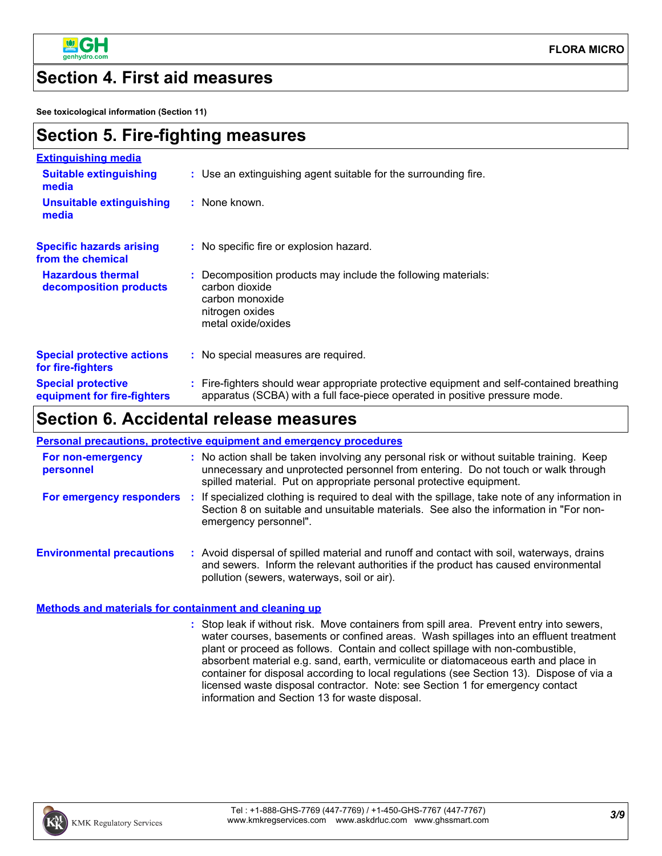

### **Section 4. First aid measures**

**See toxicological information (Section 11)**

| <b>Section 5. Fire-fighting measures</b>                 |                                                                                                                                                                          |  |
|----------------------------------------------------------|--------------------------------------------------------------------------------------------------------------------------------------------------------------------------|--|
| <b>Extinguishing media</b>                               |                                                                                                                                                                          |  |
| <b>Suitable extinguishing</b><br>media                   | : Use an extinguishing agent suitable for the surrounding fire.                                                                                                          |  |
| <b>Unsuitable extinguishing</b><br>media                 | : None known.                                                                                                                                                            |  |
| <b>Specific hazards arising</b><br>from the chemical     | : No specific fire or explosion hazard.                                                                                                                                  |  |
| <b>Hazardous thermal</b><br>decomposition products       | : Decomposition products may include the following materials:<br>carbon dioxide<br>carbon monoxide<br>nitrogen oxides<br>metal oxide/oxides                              |  |
| <b>Special protective actions</b><br>for fire-fighters   | : No special measures are required.                                                                                                                                      |  |
| <b>Special protective</b><br>equipment for fire-fighters | : Fire-fighters should wear appropriate protective equipment and self-contained breathing<br>apparatus (SCBA) with a full face-piece operated in positive pressure mode. |  |

### **Section 6. Accidental release measures**

#### **Personal precautions, protective equipment and emergency procedures**

| For non-emergency<br>personnel   | : No action shall be taken involving any personal risk or without suitable training. Keep<br>unnecessary and unprotected personnel from entering. Do not touch or walk through<br>spilled material. Put on appropriate personal protective equipment. |
|----------------------------------|-------------------------------------------------------------------------------------------------------------------------------------------------------------------------------------------------------------------------------------------------------|
| For emergency responders         | If specialized clothing is required to deal with the spillage, take note of any information in<br>Section 8 on suitable and unsuitable materials. See also the information in "For non-<br>emergency personnel".                                      |
| <b>Environmental precautions</b> | Avoid dispersal of spilled material and runoff and contact with soil, waterways, drains<br>and sewers. Inform the relevant authorities if the product has caused environmental<br>pollution (sewers, waterways, soil or air).                         |

### **Methods and materials for containment and cleaning up**

Stop leak if without risk. Move containers from spill area. Prevent entry into sewers, **:** water courses, basements or confined areas. Wash spillages into an effluent treatment plant or proceed as follows. Contain and collect spillage with non-combustible, absorbent material e.g. sand, earth, vermiculite or diatomaceous earth and place in container for disposal according to local regulations (see Section 13). Dispose of via a licensed waste disposal contractor. Note: see Section 1 for emergency contact information and Section 13 for waste disposal.

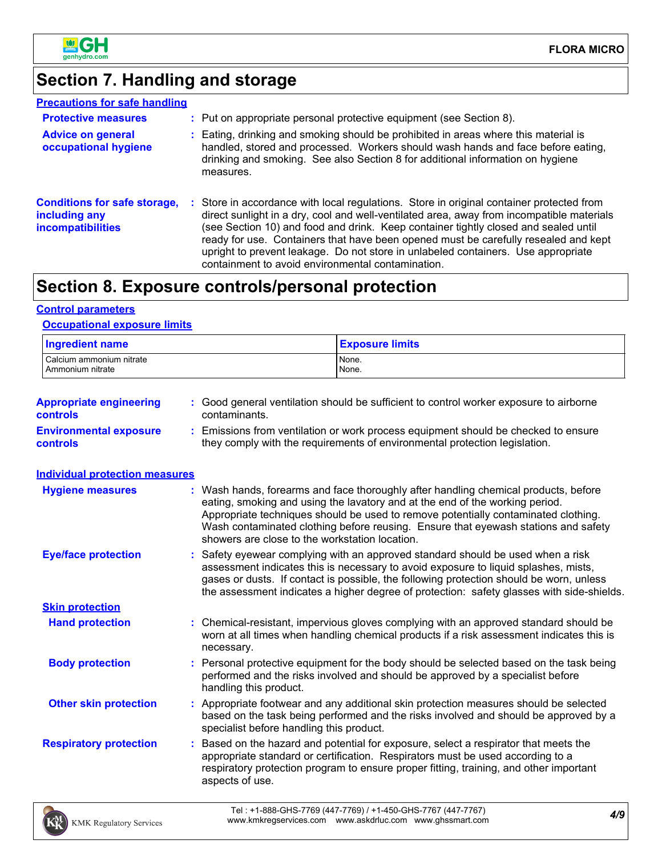

# **Section 7. Handling and storage**

| <b>Precautions for safe handling</b>                                      |                                                                                                                                                                                                                                                                                                                                                                                                                                                                                                               |
|---------------------------------------------------------------------------|---------------------------------------------------------------------------------------------------------------------------------------------------------------------------------------------------------------------------------------------------------------------------------------------------------------------------------------------------------------------------------------------------------------------------------------------------------------------------------------------------------------|
| <b>Protective measures</b>                                                | : Put on appropriate personal protective equipment (see Section 8).                                                                                                                                                                                                                                                                                                                                                                                                                                           |
| <b>Advice on general</b><br>occupational hygiene                          | : Eating, drinking and smoking should be prohibited in areas where this material is<br>handled, stored and processed. Workers should wash hands and face before eating,<br>drinking and smoking. See also Section 8 for additional information on hygiene<br>measures.                                                                                                                                                                                                                                        |
| <b>Conditions for safe storage,</b><br>including any<br>incompatibilities | : Store in accordance with local regulations. Store in original container protected from<br>direct sunlight in a dry, cool and well-ventilated area, away from incompatible materials<br>(see Section 10) and food and drink. Keep container tightly closed and sealed until<br>ready for use. Containers that have been opened must be carefully resealed and kept<br>upright to prevent leakage. Do not store in unlabeled containers. Use appropriate<br>containment to avoid environmental contamination. |

# **Section 8. Exposure controls/personal protection**

### **Control parameters**

### **Occupational exposure limits**

| <b>Ingredient name</b>                           |                        | <b>Exposure limits</b>                                                                                                                                                                                                                                                                                                                                                                          |
|--------------------------------------------------|------------------------|-------------------------------------------------------------------------------------------------------------------------------------------------------------------------------------------------------------------------------------------------------------------------------------------------------------------------------------------------------------------------------------------------|
| Calcium ammonium nitrate<br>Ammonium nitrate     |                        | None.<br>None.                                                                                                                                                                                                                                                                                                                                                                                  |
| <b>Appropriate engineering</b><br>controls       | contaminants.          | : Good general ventilation should be sufficient to control worker exposure to airborne                                                                                                                                                                                                                                                                                                          |
| <b>Environmental exposure</b><br><b>controls</b> | ÷                      | Emissions from ventilation or work process equipment should be checked to ensure<br>they comply with the requirements of environmental protection legislation.                                                                                                                                                                                                                                  |
| <b>Individual protection measures</b>            |                        |                                                                                                                                                                                                                                                                                                                                                                                                 |
| <b>Hygiene measures</b>                          |                        | Wash hands, forearms and face thoroughly after handling chemical products, before<br>eating, smoking and using the lavatory and at the end of the working period.<br>Appropriate techniques should be used to remove potentially contaminated clothing.<br>Wash contaminated clothing before reusing. Ensure that eyewash stations and safety<br>showers are close to the workstation location. |
| <b>Eye/face protection</b>                       |                        | Safety eyewear complying with an approved standard should be used when a risk<br>assessment indicates this is necessary to avoid exposure to liquid splashes, mists,<br>gases or dusts. If contact is possible, the following protection should be worn, unless<br>the assessment indicates a higher degree of protection: safety glasses with side-shields.                                    |
| <b>Skin protection</b>                           |                        |                                                                                                                                                                                                                                                                                                                                                                                                 |
| <b>Hand protection</b>                           | necessary.             | Chemical-resistant, impervious gloves complying with an approved standard should be<br>worn at all times when handling chemical products if a risk assessment indicates this is                                                                                                                                                                                                                 |
| <b>Body protection</b>                           | handling this product. | Personal protective equipment for the body should be selected based on the task being<br>performed and the risks involved and should be approved by a specialist before                                                                                                                                                                                                                         |
| <b>Other skin protection</b>                     |                        | : Appropriate footwear and any additional skin protection measures should be selected<br>based on the task being performed and the risks involved and should be approved by a<br>specialist before handling this product.                                                                                                                                                                       |
| <b>Respiratory protection</b>                    | aspects of use.        | Based on the hazard and potential for exposure, select a respirator that meets the<br>appropriate standard or certification. Respirators must be used according to a<br>respiratory protection program to ensure proper fitting, training, and other important                                                                                                                                  |
|                                                  |                        |                                                                                                                                                                                                                                                                                                                                                                                                 |

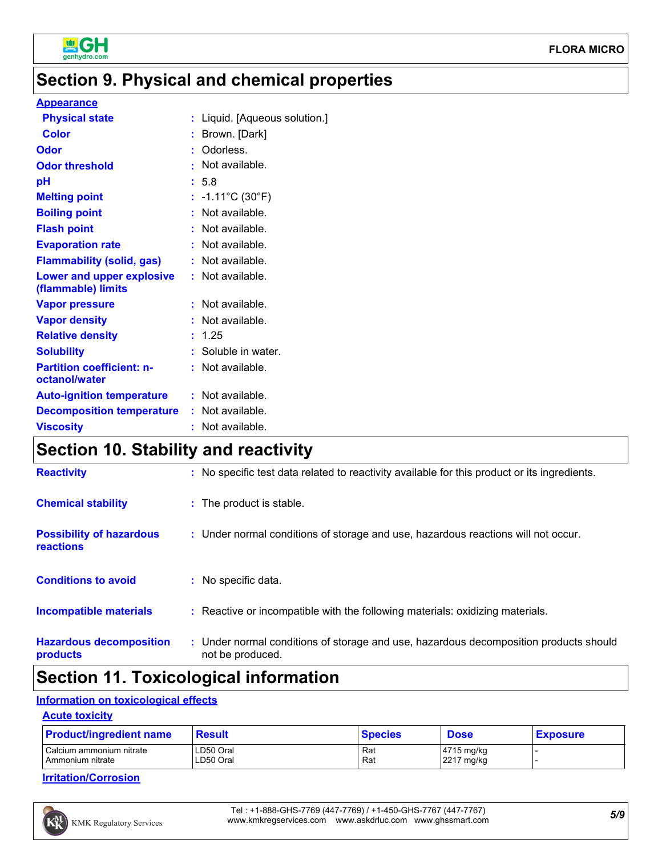

# **Section 9. Physical and chemical properties**

### **Appearance**

| <b>Physical state</b>                             | : Liquid. [Aqueous solution.]   |
|---------------------------------------------------|---------------------------------|
| <b>Color</b>                                      | : Brown. [Dark]                 |
| Odor                                              | : Odorless.                     |
| <b>Odor threshold</b>                             | : Not available.                |
| рH                                                | : 5.8                           |
| <b>Melting point</b>                              | : $-1.11^{\circ}C(30^{\circ}F)$ |
| <b>Boiling point</b>                              | : Not available.                |
| <b>Flash point</b>                                | : Not available.                |
| <b>Evaporation rate</b>                           | : Not available.                |
| <b>Flammability (solid, gas)</b>                  | : Not available.                |
| Lower and upper explosive<br>(flammable) limits   | : Not available.                |
| <b>Vapor pressure</b>                             | : Not available.                |
| <b>Vapor density</b>                              | : Not available.                |
| <b>Relative density</b>                           | : 1.25                          |
| <b>Solubility</b>                                 | : Soluble in water.             |
| <b>Partition coefficient: n-</b><br>octanol/water | $:$ Not available.              |
| <b>Auto-ignition temperature</b>                  | : Not available.                |
| <b>Decomposition temperature</b>                  | : Not available.                |
| <b>Viscosity</b>                                  | : Not available.                |
|                                                   |                                 |

## **Section 10. Stability and reactivity**

| <b>Reactivity</b>                                   | : No specific test data related to reactivity available for this product or its ingredients.              |
|-----------------------------------------------------|-----------------------------------------------------------------------------------------------------------|
| <b>Chemical stability</b>                           | : The product is stable.                                                                                  |
| <b>Possibility of hazardous</b><br><b>reactions</b> | : Under normal conditions of storage and use, hazardous reactions will not occur.                         |
| <b>Conditions to avoid</b>                          | : No specific data.                                                                                       |
| <b>Incompatible materials</b>                       | : Reactive or incompatible with the following materials: oxidizing materials.                             |
| <b>Hazardous decomposition</b><br>products          | : Under normal conditions of storage and use, hazardous decomposition products should<br>not be produced. |

## **Section 11. Toxicological information**

### **Information on toxicological effects**

### **Acute toxicity**

| <b>Product/ingredient name</b> | <b>Result</b> | <b>Species</b> | Dose       | <b>Exposure</b> |
|--------------------------------|---------------|----------------|------------|-----------------|
| Calcium ammonium nitrate       | LD50 Oral     | Rat            | 4715 mg/kg |                 |
| Ammonium nitrate               | LD50 Oral     | Rat            | 2217 mg/kg |                 |

### **Irritation/Corrosion**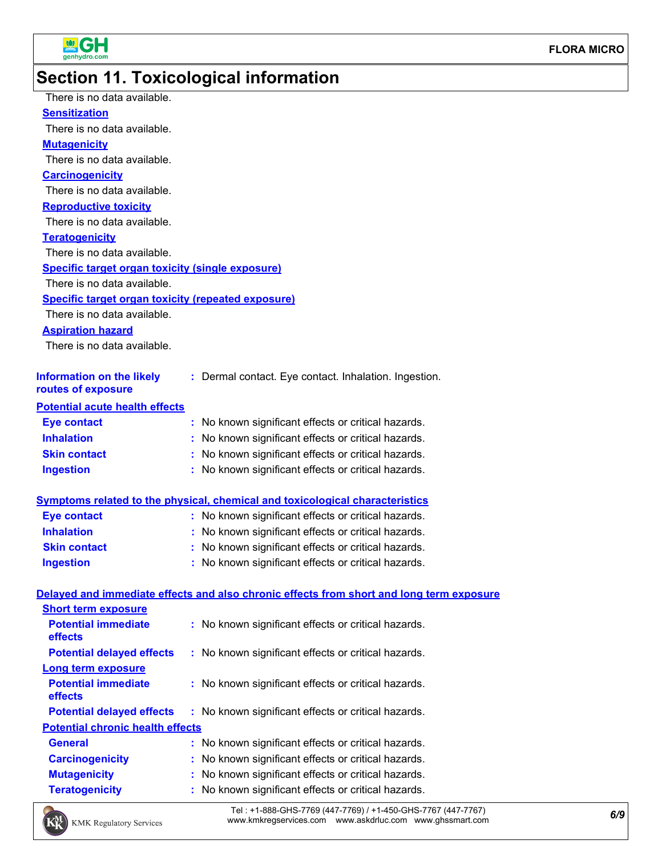

# **Section 11. Toxicological information**

| There is no data available.                               |                                                                                          |
|-----------------------------------------------------------|------------------------------------------------------------------------------------------|
| <b>Sensitization</b>                                      |                                                                                          |
| There is no data available.                               |                                                                                          |
| <b>Mutagenicity</b>                                       |                                                                                          |
| There is no data available.                               |                                                                                          |
| <b>Carcinogenicity</b>                                    |                                                                                          |
| There is no data available.                               |                                                                                          |
| <b>Reproductive toxicity</b>                              |                                                                                          |
| There is no data available.                               |                                                                                          |
| <b>Teratogenicity</b>                                     |                                                                                          |
| There is no data available.                               |                                                                                          |
| <b>Specific target organ toxicity (single exposure)</b>   |                                                                                          |
| There is no data available.                               |                                                                                          |
| <b>Specific target organ toxicity (repeated exposure)</b> |                                                                                          |
| There is no data available.                               |                                                                                          |
| <b>Aspiration hazard</b>                                  |                                                                                          |
| There is no data available.                               |                                                                                          |
| <b>Information on the likely</b>                          | : Dermal contact. Eye contact. Inhalation. Ingestion.                                    |
| routes of exposure                                        |                                                                                          |
| <b>Potential acute health effects</b>                     |                                                                                          |
| <b>Eye contact</b>                                        | : No known significant effects or critical hazards.                                      |
| <b>Inhalation</b>                                         | : No known significant effects or critical hazards.                                      |
| <b>Skin contact</b>                                       | : No known significant effects or critical hazards.                                      |
| <b>Ingestion</b>                                          | : No known significant effects or critical hazards.                                      |
|                                                           | <b>Symptoms related to the physical, chemical and toxicological characteristics</b>      |
| <b>Eye contact</b>                                        | : No known significant effects or critical hazards.                                      |
| <b>Inhalation</b>                                         | : No known significant effects or critical hazards.                                      |
| <b>Skin contact</b>                                       | : No known significant effects or critical hazards.                                      |
| <b>Ingestion</b>                                          | : No known significant effects or critical hazards.                                      |
|                                                           | Delayed and immediate effects and also chronic effects from short and long term exposure |
| <b>Short term exposure</b>                                |                                                                                          |
| <b>Potential immediate</b><br>effects                     | : No known significant effects or critical hazards.                                      |
| <b>Potential delayed effects</b>                          | : No known significant effects or critical hazards.                                      |
| <b>Long term exposure</b>                                 |                                                                                          |
| <b>Potential immediate</b><br>effects                     | : No known significant effects or critical hazards.                                      |
| <b>Potential delayed effects</b>                          | : No known significant effects or critical hazards.                                      |
| <b>Potential chronic health effects</b>                   |                                                                                          |
| <b>General</b>                                            | : No known significant effects or critical hazards.                                      |
| <b>Carcinogenicity</b>                                    | : No known significant effects or critical hazards.                                      |
| <b>Mutagenicity</b>                                       | No known significant effects or critical hazards.                                        |
| <b>Teratogenicity</b>                                     | No known significant effects or critical hazards.                                        |
|                                                           |                                                                                          |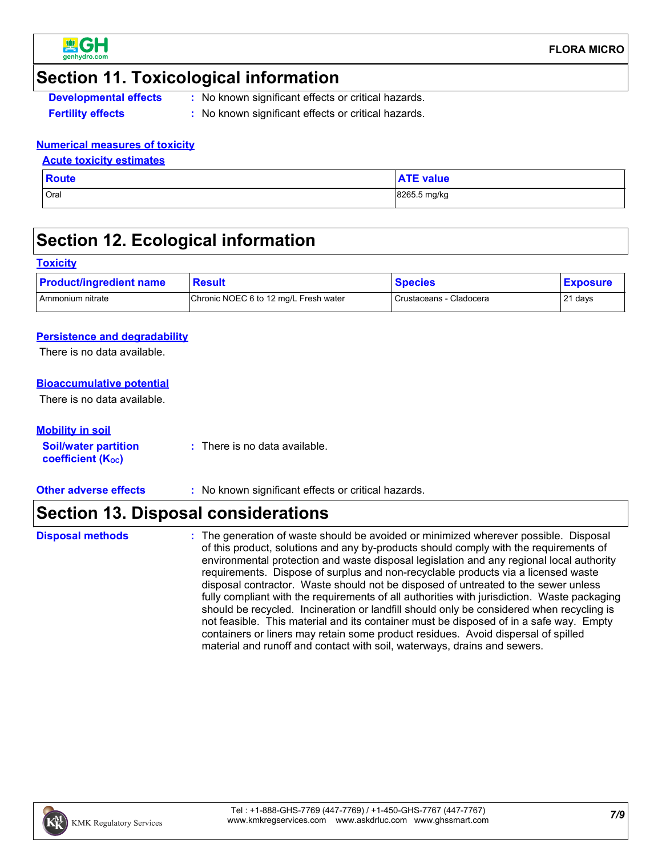

### **Section 11. Toxicological information**

**Developmental effects** : No known significant effects or critical hazards.

- 
- **Fertility effects :** No known significant effects or critical hazards.

### **Numerical measures of toxicity**

### **Acute toxicity estimates**

| <b>Route</b> | <b>ATE value</b> |
|--------------|------------------|
| Oral         | 8265.5 mg/kg     |

## **Section 12. Ecological information**

### **Toxicity**

| <b>Product/ingredient name</b> | <b>Result</b>                         | <b>Species</b>          | <b>Exposure</b> |
|--------------------------------|---------------------------------------|-------------------------|-----------------|
| I Ammonium nitrate             | Chronic NOEC 6 to 12 mg/L Fresh water | Crustaceans - Cladocera | 21 days         |

### **Persistence and degradability**

There is no data available.

### **Bioaccumulative potential**

There is no data available.

### **Mobility in soil**

**Soil/water partition coefficient (Koc)** 

**:** There is no data available.

**Other adverse effects :** No known significant effects or critical hazards.

## **Section 13. Disposal considerations**

**Disposal methods :**

The generation of waste should be avoided or minimized wherever possible. Disposal of this product, solutions and any by-products should comply with the requirements of environmental protection and waste disposal legislation and any regional local authority requirements. Dispose of surplus and non-recyclable products via a licensed waste disposal contractor. Waste should not be disposed of untreated to the sewer unless fully compliant with the requirements of all authorities with jurisdiction. Waste packaging should be recycled. Incineration or landfill should only be considered when recycling is not feasible. This material and its container must be disposed of in a safe way. Empty containers or liners may retain some product residues. Avoid dispersal of spilled material and runoff and contact with soil, waterways, drains and sewers.

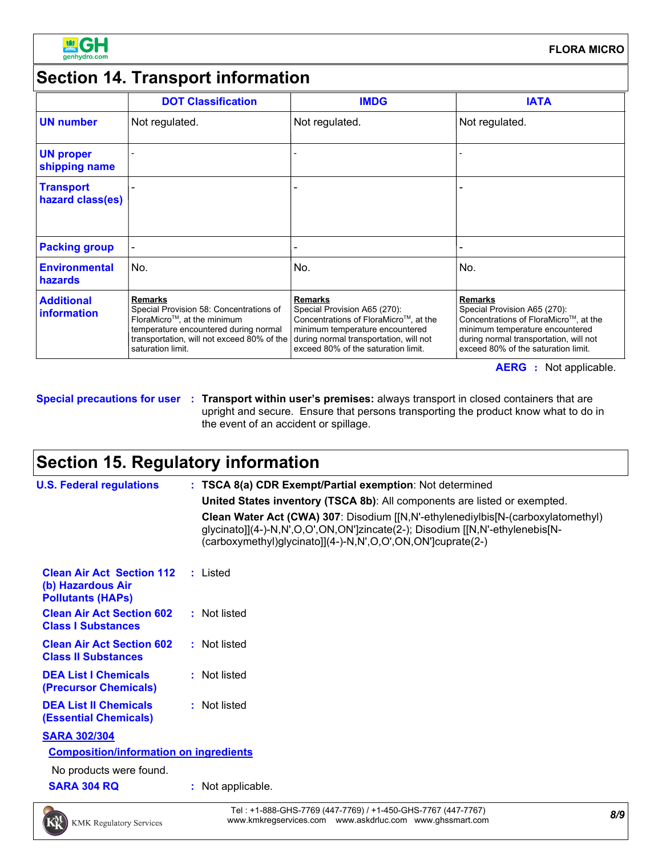

# **Section 14. Transport information**

|                                      | <b>DOT Classification</b>                                                                                                                                                                            | <b>IMDG</b>                                                                                                                                                                                                 | <b>IATA</b>                                                                                                                                                                                                 |
|--------------------------------------|------------------------------------------------------------------------------------------------------------------------------------------------------------------------------------------------------|-------------------------------------------------------------------------------------------------------------------------------------------------------------------------------------------------------------|-------------------------------------------------------------------------------------------------------------------------------------------------------------------------------------------------------------|
| <b>UN number</b>                     | Not regulated.                                                                                                                                                                                       | Not regulated.                                                                                                                                                                                              | Not regulated.                                                                                                                                                                                              |
| <b>UN proper</b><br>shipping name    |                                                                                                                                                                                                      |                                                                                                                                                                                                             |                                                                                                                                                                                                             |
| <b>Transport</b><br>hazard class(es) |                                                                                                                                                                                                      |                                                                                                                                                                                                             |                                                                                                                                                                                                             |
| <b>Packing group</b>                 |                                                                                                                                                                                                      |                                                                                                                                                                                                             |                                                                                                                                                                                                             |
| <b>Environmental</b><br>hazards      | No.                                                                                                                                                                                                  | No.                                                                                                                                                                                                         | No.                                                                                                                                                                                                         |
| <b>Additional</b><br>information     | <b>Remarks</b><br>Special Provision 58: Concentrations of<br>FloraMicro™, at the minimum<br>temperature encountered during normal<br>transportation, will not exceed 80% of the<br>saturation limit. | <b>Remarks</b><br>Special Provision A65 (270):<br>Concentrations of FloraMicro™, at the<br>minimum temperature encountered<br>during normal transportation, will not<br>exceed 80% of the saturation limit. | <b>Remarks</b><br>Special Provision A65 (270):<br>Concentrations of FloraMicro™, at the<br>minimum temperature encountered<br>during normal transportation, will not<br>exceed 80% of the saturation limit. |

**AERG :** Not applicable.

**Special precautions for user Transport within user's premises:** always transport in closed containers that are **:** upright and secure. Ensure that persons transporting the product know what to do in the event of an accident or spillage.

# **Section 15. Regulatory information**

| <b>U.S. Federal regulations</b>                                                   | : TSCA 8(a) CDR Exempt/Partial exemption: Not determined                                                                                                                                                                        |
|-----------------------------------------------------------------------------------|---------------------------------------------------------------------------------------------------------------------------------------------------------------------------------------------------------------------------------|
|                                                                                   | United States inventory (TSCA 8b): All components are listed or exempted.                                                                                                                                                       |
|                                                                                   | Clean Water Act (CWA) 307: Disodium [[N,N'-ethylenediylbis[N-(carboxylatomethyl)<br>glycinato]](4-)-N,N',O,O',ON,ON']zincate(2-); Disodium [[N,N'-ethylenebis[N-<br>(carboxymethyl)glycinato]](4-)-N,N',O,O',ON,ON']cuprate(2-) |
| <b>Clean Air Act Section 112</b><br>(b) Hazardous Air<br><b>Pollutants (HAPS)</b> | : Listed                                                                                                                                                                                                                        |
| <b>Clean Air Act Section 602</b><br><b>Class I Substances</b>                     | : Not listed                                                                                                                                                                                                                    |
| <b>Clean Air Act Section 602</b><br><b>Class II Substances</b>                    | : Not listed                                                                                                                                                                                                                    |
| <b>DEA List I Chemicals</b><br>(Precursor Chemicals)                              | : Not listed                                                                                                                                                                                                                    |
| <b>DEA List II Chemicals</b><br><b>(Essential Chemicals)</b>                      | : Not listed                                                                                                                                                                                                                    |
| <b>SARA 302/304</b>                                                               |                                                                                                                                                                                                                                 |
| <b>Composition/information on ingredients</b>                                     |                                                                                                                                                                                                                                 |
| No products were found.                                                           |                                                                                                                                                                                                                                 |
| <b>SARA 304 RQ</b>                                                                | : Not applicable.                                                                                                                                                                                                               |

*8/9* Tel : +1-888-GHS-7769 (447-7769) / +1-450-GHS-7767 (447-7767) www.kmkregservices.com www.askdrluc.com www.ghssmart.com